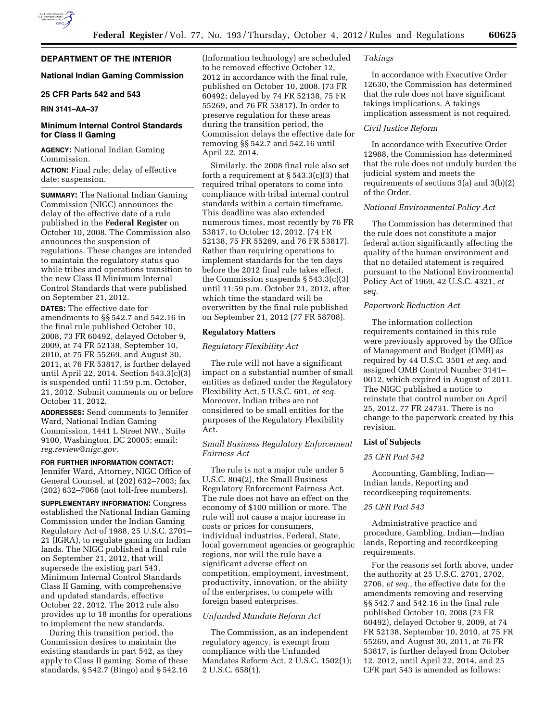# **DEPARTMENT OF THE INTERIOR**

## **National Indian Gaming Commission**

# **25 CFR Parts 542 and 543**

## **RIN 3141–AA–37**

# **Minimum Internal Control Standards for Class II Gaming**

**AGENCY:** National Indian Gaming Commission.

**ACTION:** Final rule; delay of effective date; suspension.

**SUMMARY:** The National Indian Gaming Commission (NIGC) announces the delay of the effective date of a rule published in the **Federal Register** on October 10, 2008. The Commission also announces the suspension of regulations. These changes are intended to maintain the regulatory status quo while tribes and operations transition to the new Class II Minimum Internal Control Standards that were published on September 21, 2012.

**DATES:** The effective date for amendments to §§ 542.7 and 542.16 in the final rule published October 10, 2008, 73 FR 60492, delayed October 9, 2009, at 74 FR 52138, September 10, 2010, at 75 FR 55269, and August 30, 2011, at 76 FR 53817, is further delayed until April 22, 2014. Section 543.3(c)(3) is suspended until 11:59 p.m. October, 21, 2012. Submit comments on or before October 11, 2012.

**ADDRESSES:** Send comments to Jennifer Ward, National Indian Gaming Commission, 1441 L Street NW., Suite 9100, Washington, DC 20005; email: *[reg.review@nigc.gov](mailto:reg.review@nigc.gov)*.

## **FOR FURTHER INFORMATION CONTACT:**

Jennifer Ward, Attorney, NIGC Office of General Counsel, at (202) 632–7003; fax (202) 632–7066 (not toll-free numbers).

**SUPPLEMENTARY INFORMATION:** Congress established the National Indian Gaming Commission under the Indian Gaming Regulatory Act of 1988, 25 U.S.C. 2701– 21 (IGRA), to regulate gaming on Indian lands. The NIGC published a final rule on September 21, 2012, that will supersede the existing part 543, Minimum Internal Control Standards Class II Gaming, with comprehensive and updated standards, effective October 22, 2012. The 2012 rule also provides up to 18 months for operations to implement the new standards.

During this transition period, the Commission desires to maintain the existing standards in part 542, as they apply to Class II gaming. Some of these standards, § 542.7 (Bingo) and § 542.16

(Information technology) are scheduled to be removed effective October 12, 2012 in accordance with the final rule, published on October 10, 2008. (73 FR 60492; delayed by 74 FR 52138, 75 FR 55269, and 76 FR 53817). In order to preserve regulation for these areas during the transition period, the Commission delays the effective date for removing §§ 542.7 and 542.16 until April 22, 2014.

Similarly, the 2008 final rule also set forth a requirement at  $\S 543.3(c)(3)$  that required tribal operators to come into compliance with tribal internal control standards within a certain timeframe. This deadline was also extended numerous times, most recently by 76 FR 53817, to October 12, 2012. (74 FR 52138, 75 FR 55269, and 76 FR 53817). Rather than requiring operations to implement standards for the ten days before the 2012 final rule takes effect, the Commission suspends § 543.3(c)(3) until 11:59 p.m. October 21, 2012, after which time the standard will be overwritten by the final rule published on September 21, 2012 (77 FR 58708).

#### **Regulatory Matters**

#### *Regulatory Flexibility Act*

The rule will not have a significant impact on a substantial number of small entities as defined under the Regulatory Flexibility Act, 5 U.S.C. 601, *et seq.*  Moreover, Indian tribes are not considered to be small entities for the purposes of the Regulatory Flexibility Act.

## *Small Business Regulatory Enforcement Fairness Act*

The rule is not a major rule under 5 U.S.C. 804(2), the Small Business Regulatory Enforcement Fairness Act. The rule does not have an effect on the economy of \$100 million or more. The rule will not cause a major increase in costs or prices for consumers, individual industries, Federal, State, local government agencies or geographic regions, nor will the rule have a significant adverse effect on competition, employment, investment, productivity, innovation, or the ability of the enterprises, to compete with foreign based enterprises.

### *Unfunded Mandate Reform Act*

The Commission, as an independent regulatory agency, is exempt from compliance with the Unfunded Mandates Reform Act, 2 U.S.C. 1502(1); 2 U.S.C. 658(1).

## *Takings*

In accordance with Executive Order 12630, the Commission has determined that the rule does not have significant takings implications. A takings implication assessment is not required.

### *Civil Justice Reform*

In accordance with Executive Order 12988, the Commission has determined that the rule does not unduly burden the judicial system and meets the requirements of sections 3(a) and 3(b)(2) of the Order.

#### *National Environmental Policy Act*

The Commission has determined that the rule does not constitute a major federal action significantly affecting the quality of the human environment and that no detailed statement is required pursuant to the National Environmental Policy Act of 1969, 42 U.S.C. 4321, *et seq.* 

## *Paperwork Reduction Act*

The information collection requirements contained in this rule were previously approved by the Office of Management and Budget (OMB) as required by 44 U.S.C. 3501 *et seq.* and assigned OMB Control Number 3141– 0012, which expired in August of 2011. The NIGC published a notice to reinstate that control number on April 25, 2012. 77 FR 24731. There is no change to the paperwork created by this revision.

## **List of Subjects**

## *25 CFR Part 542*

Accounting, Gambling, Indian— Indian lands, Reporting and recordkeeping requirements.

#### *25 CFR Part 543*

Administrative practice and procedure, Gambling, Indian—Indian lands, Reporting and recordkeeping requirements.

For the reasons set forth above, under the authority at 25 U.S.C. 2701, 2702, 2706, *et seq.,* the effective date for the amendments removing and reserving §§ 542.7 and 542.16 in the final rule published October 10, 2008 (73 FR 60492), delayed October 9, 2009, at 74 FR 52138, September 10, 2010, at 75 FR 55269, and August 30, 2011, at 76 FR 53817, is further delayed from October 12, 2012, until April 22, 2014, and 25 CFR part 543 is amended as follows: